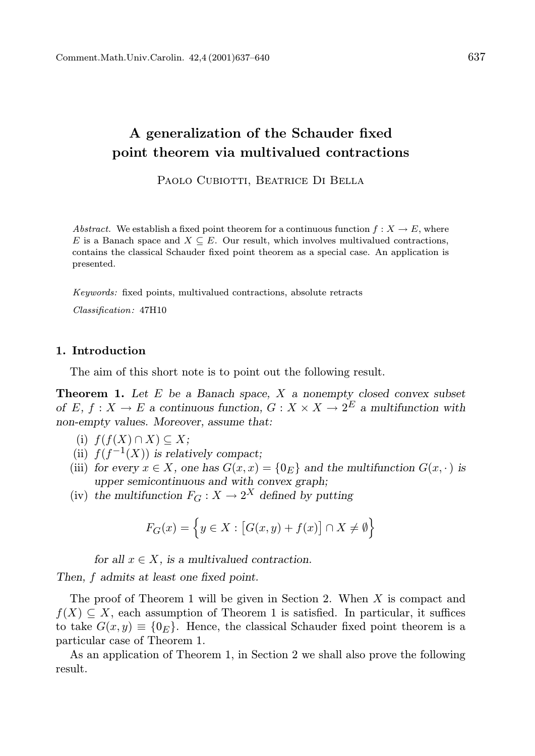## A generalization of the Schauder fixed point theorem via multivalued contractions

PAOLO CUBIOTTI, BEATRICE DI BELLA

Abstract. We establish a fixed point theorem for a continuous function  $f: X \to E$ , where E is a Banach space and  $X \subseteq E$ . Our result, which involves multivalued contractions, contains the classical Schauder fixed point theorem as a special case. An application is presented.

Keywords: fixed points, multivalued contractions, absolute retracts

Classification: 47H10

## 1. Introduction

The aim of this short note is to point out the following result.

**Theorem 1.** Let  $E$  be a Banach space,  $X$  a nonempty closed convex subset of E,  $f: X \to E$  a continuous function,  $G: X \times X \to 2^E$  a multifunction with non-empty values. Moreover, assume that:

- (i)  $f(f(X) \cap X) \subseteq X$ ;
- (ii)  $f(f^{-1}(X))$  is relatively compact;
- (iii) for every  $x \in X$ , one has  $G(x, x) = \{0_E\}$  and the multifunction  $G(x, \cdot)$  is upper semicontinuous and with convex graph;
- (iv) the multifunction  $F_G: X \to 2^X$  defined by putting

$$
F_G(x) = \left\{ y \in X : \left[ G(x, y) + f(x) \right] \cap X \neq \emptyset \right\}
$$

for all  $x \in X$ , is a multivalued contraction.

Then, f admits at least one fixed point.

The proof of Theorem 1 will be given in Section 2. When  $X$  is compact and  $f(X) \subseteq X$ , each assumption of Theorem 1 is satisfied. In particular, it suffices to take  $G(x, y) \equiv \{0_E\}$ . Hence, the classical Schauder fixed point theorem is a particular case of Theorem 1.

As an application of Theorem 1, in Section 2 we shall also prove the following result.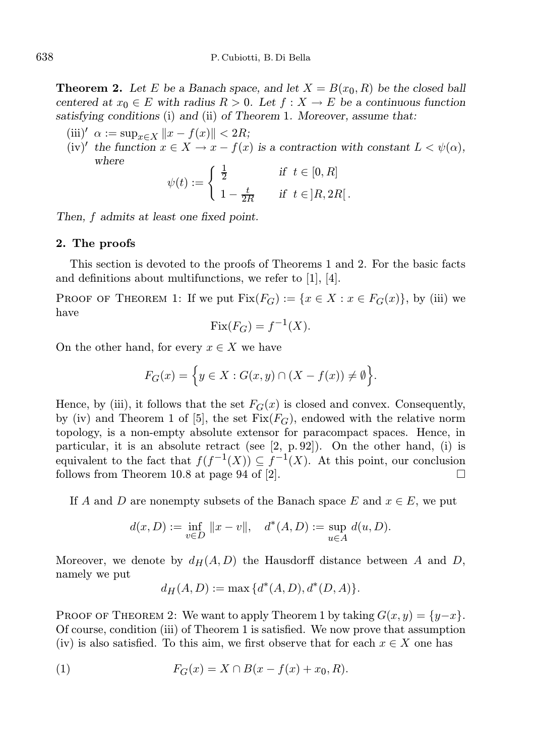**Theorem 2.** Let E be a Banach space, and let  $X = B(x_0, R)$  be the closed ball centered at  $x_0 \in E$  with radius  $R > 0$ . Let  $f : X \to E$  be a continuous function satisfying conditions (i) and (ii) of Theorem 1. Moreover, assume that:

- (iii)′  $\alpha := \sup_{x \in X} ||x f(x)|| < 2R;$
- (iv)' the function  $x \in X \to x f(x)$  is a contraction with constant  $L < \psi(\alpha)$ , where

$$
\psi(t) := \begin{cases} \frac{1}{2} & \text{if } t \in [0, R] \\ 1 - \frac{t}{2R} & \text{if } t \in ]R, 2R[. \end{cases}
$$

Then, f admits at least one fixed point.

## 2. The proofs

This section is devoted to the proofs of Theorems 1 and 2. For the basic facts and definitions about multifunctions, we refer to [1], [4].

PROOF OF THEOREM 1: If we put  $Fix(F_G) := \{x \in X : x \in F_G(x)\}\)$ , by (iii) we have

$$
Fix(F_G) = f^{-1}(X).
$$

On the other hand, for every  $x \in X$  we have

$$
F_G(x) = \Big\{ y \in X : G(x, y) \cap (X - f(x)) \neq \emptyset \Big\}.
$$

Hence, by (iii), it follows that the set  $F_G(x)$  is closed and convex. Consequently, by (iv) and Theorem 1 of [5], the set  $Fix(F_G)$ , endowed with the relative norm topology, is a non-empty absolute extensor for paracompact spaces. Hence, in particular, it is an absolute retract (see [2, p. 92]). On the other hand, (i) is equivalent to the fact that  $f(f^{-1}(X)) \subseteq f^{-1}(X)$ . At this point, our conclusion follows from Theorem 10.8 at page 94 of [2].  $\Box$ 

If A and D are nonempty subsets of the Banach space E and  $x \in E$ , we put

$$
d(x, D) := \inf_{v \in D} ||x - v||, \quad d^*(A, D) := \sup_{u \in A} d(u, D).
$$

Moreover, we denote by  $d_H(A, D)$  the Hausdorff distance between A and D, namely we put

$$
d_H(A, D) := \max \{ d^*(A, D), d^*(D, A) \}.
$$

PROOF OF THEOREM 2: We want to apply Theorem 1 by taking  $G(x, y) = \{y-x\}$ . Of course, condition (iii) of Theorem 1 is satisfied. We now prove that assumption (iv) is also satisfied. To this aim, we first observe that for each  $x \in X$  one has

(1) 
$$
F_G(x) = X \cap B(x - f(x) + x_0, R).
$$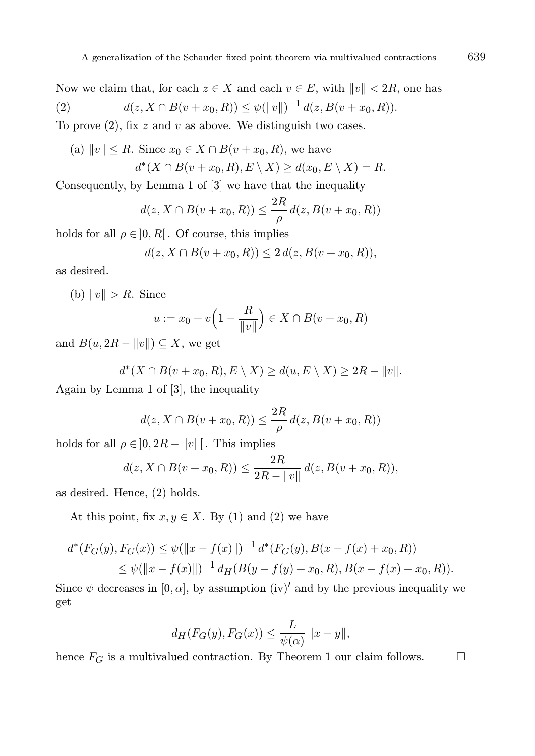Now we claim that, for each  $z \in X$  and each  $v \in E$ , with  $||v|| < 2R$ , one has (2)  $d(z, X \cap B(v + x_0, R)) \leq \psi(||v||)^{-1} d(z, B(v + x_0, R)).$ 

To prove  $(2)$ , fix z and v as above. We distinguish two cases.

(a) 
$$
||v|| \le R
$$
. Since  $x_0 \in X \cap B(v + x_0, R)$ , we have  

$$
d^*(X \cap B(v + x_0, R), E \setminus X) \ge d(x_0, E \setminus X) = R.
$$

Consequently, by Lemma 1 of [3] we have that the inequality

$$
d(z, X \cap B(v + x_0, R)) \le \frac{2R}{\rho} d(z, B(v + x_0, R))
$$

holds for all  $\rho \in ]0, R[$ . Of course, this implies

$$
d(z, X \cap B(v + x_0, R)) \le 2 d(z, B(v + x_0, R)),
$$

as desired.

(b)  $||v|| > R$ . Since

$$
u := x_0 + v \left( 1 - \frac{R}{\|v\|} \right) \in X \cap B(v + x_0, R)
$$

and  $B(u, 2R - ||v||) \subseteq X$ , we get

$$
d^*(X \cap B(v + x_0, R), E \setminus X) \ge d(u, E \setminus X) \ge 2R - ||v||.
$$

Again by Lemma 1 of [3], the inequality

$$
d(z, X \cap B(v + x_0, R)) \le \frac{2R}{\rho} d(z, B(v + x_0, R))
$$

holds for all  $\rho \in ]0, 2R - ||v||[$ . This implies

$$
d(z, X \cap B(v + x_0, R)) \le \frac{2R}{2R - ||v||} d(z, B(v + x_0, R)),
$$

as desired. Hence, (2) holds.

At this point, fix  $x, y \in X$ . By (1) and (2) we have

$$
d^*(F_G(y), F_G(x)) \le \psi(||x - f(x)||)^{-1} d^*(F_G(y), B(x - f(x) + x_0, R))
$$
  
 
$$
\le \psi(||x - f(x)||)^{-1} d_H(B(y - f(y) + x_0, R), B(x - f(x) + x_0, R)).
$$

Since  $\psi$  decreases in [0,  $\alpha$ ], by assumption (iv)' and by the previous inequality we get

$$
d_H(F_G(y), F_G(x)) \le \frac{L}{\psi(\alpha)} \|x - y\|,
$$

hence  $F_G$  is a multivalued contraction. By Theorem 1 our claim follows.  $\hfill \Box$